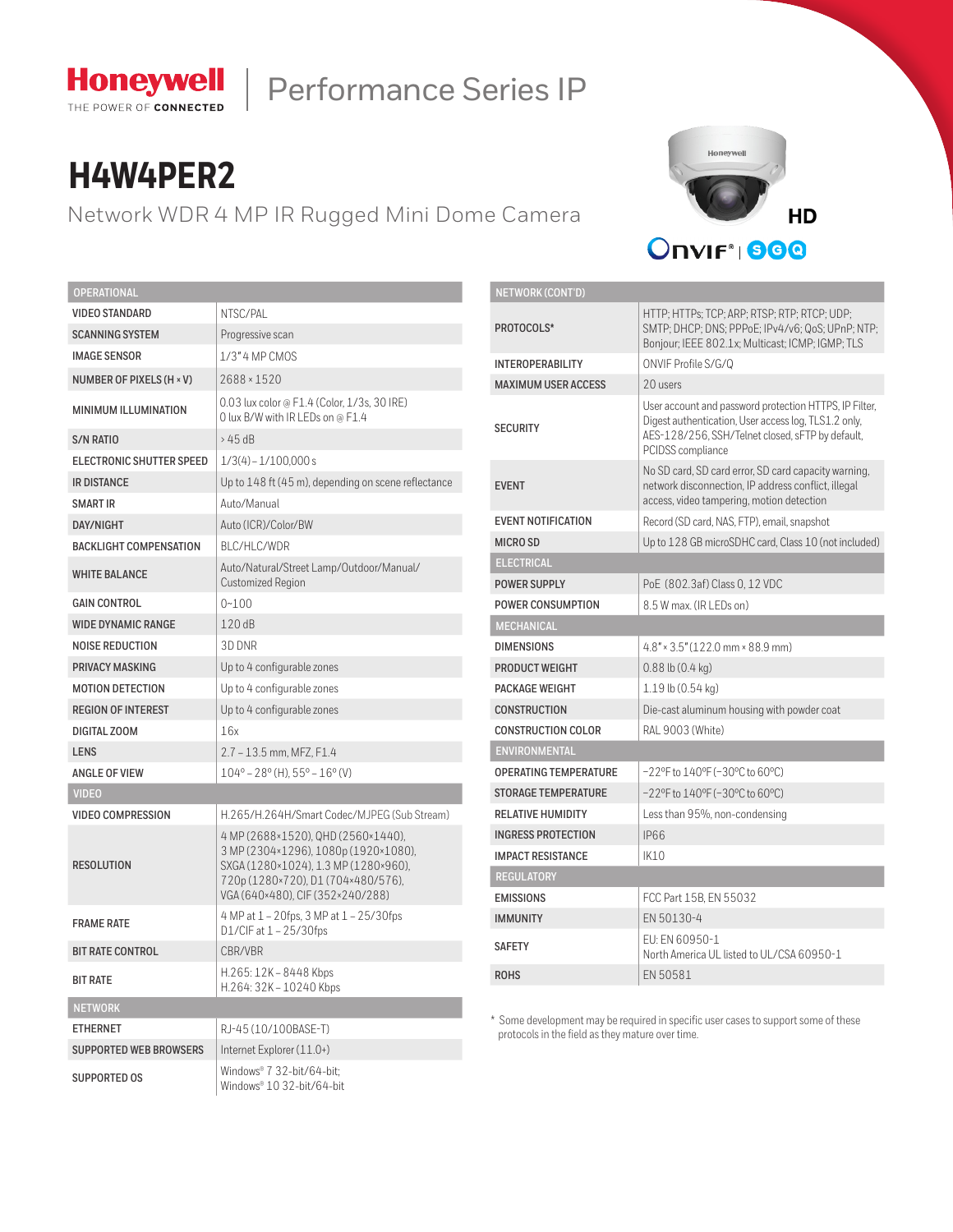

# Performance Series IP

# **H4W4PER2**

Network WDR 4 MP IR Rugged Mini Dome Camera



| <b>OPERATIONAL</b>            |                                                                                                                                                                                              |  |  |  |
|-------------------------------|----------------------------------------------------------------------------------------------------------------------------------------------------------------------------------------------|--|--|--|
| <b>VIDEO STANDARD</b>         | NTSC/PAL                                                                                                                                                                                     |  |  |  |
| <b>SCANNING SYSTEM</b>        | Progressive scan                                                                                                                                                                             |  |  |  |
| <b>IMAGE SENSOR</b>           | 1/3" 4 MP CMOS                                                                                                                                                                               |  |  |  |
| NUMBER OF PIXELS (H × V)      | 2688 × 1520                                                                                                                                                                                  |  |  |  |
| MINIMUM ILLUMINATION          | 0.03 lux color @ F1.4 (Color, 1/3s, 30 IRE)<br>O lux B/W with IR LEDs on @ F1.4                                                                                                              |  |  |  |
| S/N RATIO                     | >45dB                                                                                                                                                                                        |  |  |  |
| ELECTRONIC SHUTTER SPEED      | $1/3(4) - 1/100,000s$                                                                                                                                                                        |  |  |  |
| <b>IR DISTANCE</b>            | Up to 148 ft (45 m), depending on scene reflectance                                                                                                                                          |  |  |  |
| <b>SMART IR</b>               | Auto/Manual                                                                                                                                                                                  |  |  |  |
| <b>DAY/NIGHT</b>              | Auto (ICR)/Color/BW                                                                                                                                                                          |  |  |  |
| <b>BACKLIGHT COMPENSATION</b> | BLC/HLC/WDR                                                                                                                                                                                  |  |  |  |
| <b>WHITE BALANCE</b>          | Auto/Natural/Street Lamp/Outdoor/Manual/<br><b>Customized Region</b>                                                                                                                         |  |  |  |
| <b>GAIN CONTROL</b>           | $0 - 100$                                                                                                                                                                                    |  |  |  |
| <b>WIDE DYNAMIC RANGE</b>     | 120 dB                                                                                                                                                                                       |  |  |  |
| <b>NOISE REDUCTION</b>        | 3D DNR                                                                                                                                                                                       |  |  |  |
| <b>PRIVACY MASKING</b>        | Up to 4 configurable zones                                                                                                                                                                   |  |  |  |
| <b>MOTION DETECTION</b>       | Up to 4 configurable zones                                                                                                                                                                   |  |  |  |
| <b>REGION OF INTEREST</b>     | Up to 4 configurable zones                                                                                                                                                                   |  |  |  |
| DIGITAL ZOOM                  | 16x                                                                                                                                                                                          |  |  |  |
| <b>LENS</b>                   | 2.7 - 13.5 mm, MFZ, F1.4                                                                                                                                                                     |  |  |  |
| <b>ANGLE OF VIEW</b>          | $104^{\circ}$ – 28 $^{\circ}$ (H), 55 $^{\circ}$ – 16 $^{\circ}$ (V)                                                                                                                         |  |  |  |
| <b>VIDEO</b>                  |                                                                                                                                                                                              |  |  |  |
| VIDEO COMPRESSION             | H.265/H.264H/Smart Codec/MJPEG (Sub Stream)                                                                                                                                                  |  |  |  |
| <b>RESOLUTION</b>             | 4 MP (2688×1520), QHD (2560×1440),<br>3 MP (2304×1296), 1080p (1920×1080),<br>SXGA (1280×1024), 1.3 MP (1280×960),<br>720p (1280×720), D1 (704×480/576),<br>VGA (640×480), CIF (352×240/288) |  |  |  |
| <b>FRAME RATE</b>             | 4 MP at 1 - 20fps, 3 MP at 1 - 25/30fps<br>D1/CIF at $1 - 25/30$ fps                                                                                                                         |  |  |  |
| <b>BIT RATE CONTROL</b>       | CBR/VBR                                                                                                                                                                                      |  |  |  |
| <b>BIT RATE</b>               | H.265: 12K - 8448 Kbps<br>H.264: 32K - 10240 Kbps                                                                                                                                            |  |  |  |
| <b>NETWORK</b>                |                                                                                                                                                                                              |  |  |  |
| <b>ETHERNET</b>               | RJ-45 (10/100BASE-T)                                                                                                                                                                         |  |  |  |
| <b>SUPPORTED WEB BROWSERS</b> | Internet Explorer (11.0+)                                                                                                                                                                    |  |  |  |
| <b>SUPPORTED OS</b>           | Windows® 7 32-bit/64-bit;<br>Windows® 10 32-bit/64-bit                                                                                                                                       |  |  |  |

| <b>NETWORK (CONT'D)</b>      |                                                                                                                                                                                         |  |  |  |  |  |
|------------------------------|-----------------------------------------------------------------------------------------------------------------------------------------------------------------------------------------|--|--|--|--|--|
| PROTOCOLS*                   | HTTP: HTTPs: TCP: ARP: RTSP: RTP: RTCP: UDP:<br>SMTP; DHCP; DNS; PPPoE; IPv4/v6; QoS; UPnP; NTP;<br>Bonjour; IEEE 802.1x; Multicast; ICMP; IGMP; TLS                                    |  |  |  |  |  |
| <b>INTEROPERABILITY</b>      | ONVIF Profile S/G/Q                                                                                                                                                                     |  |  |  |  |  |
| <b>MAXIMUM USER ACCESS</b>   | 20 users                                                                                                                                                                                |  |  |  |  |  |
| <b>SECURITY</b>              | User account and password protection HTTPS, IP Filter,<br>Digest authentication, User access log, TLS1.2 only,<br>AES-128/256, SSH/Telnet closed, sFTP by default,<br>PCIDSS compliance |  |  |  |  |  |
| <b>EVENT</b>                 | No SD card, SD card error, SD card capacity warning,<br>network disconnection, IP address conflict, illegal<br>access, video tampering, motion detection                                |  |  |  |  |  |
| <b>EVENT NOTIFICATION</b>    | Record (SD card, NAS, FTP), email, snapshot                                                                                                                                             |  |  |  |  |  |
| <b>MICRO SD</b>              | Up to 128 GB microSDHC card, Class 10 (not included)                                                                                                                                    |  |  |  |  |  |
| <b>ELECTRICAL</b>            |                                                                                                                                                                                         |  |  |  |  |  |
| <b>POWER SUPPLY</b>          | PoE (802.3af) Class 0, 12 VDC                                                                                                                                                           |  |  |  |  |  |
| <b>POWER CONSUMPTION</b>     | 8.5 W max. (IR LEDs on)                                                                                                                                                                 |  |  |  |  |  |
| <b>MECHANICAL</b>            |                                                                                                                                                                                         |  |  |  |  |  |
| <b>DIMENSIONS</b>            | $4.8" \times 3.5" (122.0 \text{ mm} \times 88.9 \text{ mm})$                                                                                                                            |  |  |  |  |  |
| PRODUCT WEIGHT               | $0.88$ lb $(0.4$ kg)                                                                                                                                                                    |  |  |  |  |  |
| PACKAGE WEIGHT               | 1.19 lb (0.54 kg)                                                                                                                                                                       |  |  |  |  |  |
| <b>CONSTRUCTION</b>          | Die-cast aluminum housing with powder coat                                                                                                                                              |  |  |  |  |  |
| <b>CONSTRUCTION COLOR</b>    | RAL 9003 (White)                                                                                                                                                                        |  |  |  |  |  |
| <b>ENVIRONMENTAL</b>         |                                                                                                                                                                                         |  |  |  |  |  |
| <b>OPERATING TEMPERATURE</b> | $-22$ °F to $140$ °F ( $-30$ °C to 60°C)                                                                                                                                                |  |  |  |  |  |
| <b>STORAGE TEMPERATURE</b>   | $-22$ °F to $140$ °F (-30°C to 60°C)                                                                                                                                                    |  |  |  |  |  |
| <b>RELATIVE HUMIDITY</b>     | Less than 95%, non-condensing                                                                                                                                                           |  |  |  |  |  |
| <b>INGRESS PROTECTION</b>    | <b>IP66</b>                                                                                                                                                                             |  |  |  |  |  |
| <b>IMPACT RESISTANCE</b>     | IK10                                                                                                                                                                                    |  |  |  |  |  |
| <b>REGULATORY</b>            |                                                                                                                                                                                         |  |  |  |  |  |
| <b>EMISSIONS</b>             | FCC Part 15B, EN 55032                                                                                                                                                                  |  |  |  |  |  |
| <b>IMMUNITY</b>              | EN 50130-4                                                                                                                                                                              |  |  |  |  |  |
| <b>SAFETY</b>                | EU: EN 60950-1<br>North America UL listed to UL/CSA 60950-1                                                                                                                             |  |  |  |  |  |
| <b>ROHS</b>                  | EN 50581                                                                                                                                                                                |  |  |  |  |  |

\* Some development may be required in specific user cases to support some of these protocols in the field as they mature over time.